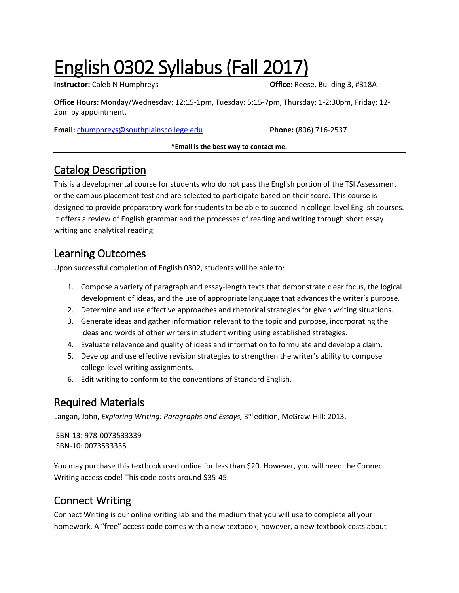# English 0302 Syllabus (Fall 2017)

**Instructor:** Caleb N Humphreys **Caleb N** Humphreys **Caleb N** Humphreys **Caleb A** A 2008

**Office Hours:** Monday/Wednesday: 12:15-1pm, Tuesday: 5:15-7pm, Thursday: 1-2:30pm, Friday: 12- 2pm by appointment.

**Email:** [chumphreys@southplainscollege.edu](mailto:chumphreys@southplainscollege.edu) **Phone:** (806) 716-2537

#### **\*Email is the best way to contact me.**

### Catalog Description

This is a developmental course for students who do not pass the English portion of the TSI Assessment or the campus placement test and are selected to participate based on their score. This course is designed to provide preparatory work for students to be able to succeed in college-level English courses. It offers a review of English grammar and the processes of reading and writing through short essay writing and analytical reading.

### Learning Outcomes

Upon successful completion of English 0302, students will be able to:

- 1. Compose a variety of paragraph and essay-length texts that demonstrate clear focus, the logical development of ideas, and the use of appropriate language that advances the writer's purpose.
- 2. Determine and use effective approaches and rhetorical strategies for given writing situations.
- 3. Generate ideas and gather information relevant to the topic and purpose, incorporating the ideas and words of other writers in student writing using established strategies.
- 4. Evaluate relevance and quality of ideas and information to formulate and develop a claim.
- 5. Develop and use effective revision strategies to strengthen the writer's ability to compose college-level writing assignments.
- 6. Edit writing to conform to the conventions of Standard English.

### Required Materials

Langan, John, *Exploring Writing: Paragraphs and Essays,* 3 rd edition, McGraw-Hill: 2013.

ISBN-13: 978-0073533339 ISBN-10: 0073533335

You may purchase this textbook used online for less than \$20. However, you will need the Connect Writing access code! This code costs around \$35-45.

### Connect Writing

Connect Writing is our online writing lab and the medium that you will use to complete all your homework. A "free" access code comes with a new textbook; however, a new textbook costs about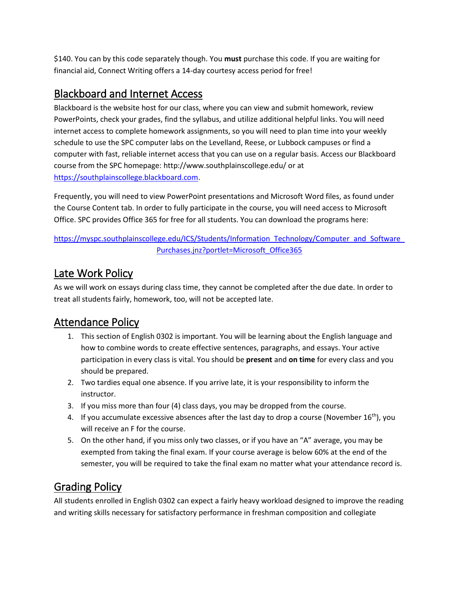\$140. You can by this code separately though. You **must** purchase this code. If you are waiting for financial aid, Connect Writing offers a 14-day courtesy access period for free!

### Blackboard and Internet Access

Blackboard is the website host for our class, where you can view and submit homework, review PowerPoints, check your grades, find the syllabus, and utilize additional helpful links. You will need internet access to complete homework assignments, so you will need to plan time into your weekly schedule to use the SPC computer labs on the Levelland, Reese, or Lubbock campuses or find a computer with fast, reliable internet access that you can use on a regular basis. Access our Blackboard course from the SPC homepage: http://www.southplainscollege.edu/ or at [https://southplainscollege.blackboard.com.](https://southplainscollege.blackboard.com/)

Frequently, you will need to view PowerPoint presentations and Microsoft Word files, as found under the Course Content tab. In order to fully participate in the course, you will need access to Microsoft Office. SPC provides Office 365 for free for all students. You can download the programs here:

#### https://myspc.southplainscollege.edu/ICS/Students/Information\_Technology/Computer\_and\_Software [Purchases.jnz?portlet=Microsoft\\_Office365](https://myspc.southplainscollege.edu/ICS/Students/Information_Technology/Computer_and_Software_Purchases.jnz?portlet=Microsoft_Office365)

### Late Work Policy

As we will work on essays during class time, they cannot be completed after the due date. In order to treat all students fairly, homework, too, will not be accepted late.

### Attendance Policy

- 1. This section of English 0302 is important. You will be learning about the English language and how to combine words to create effective sentences, paragraphs, and essays. Your active participation in every class is vital. You should be **present** and **on time** for every class and you should be prepared.
- 2. Two tardies equal one absence. If you arrive late, it is your responsibility to inform the instructor.
- 3. If you miss more than four (4) class days, you may be dropped from the course.
- 4. If you accumulate excessive absences after the last day to drop a course (November  $16^{th}$ ), you will receive an F for the course.
- 5. On the other hand, if you miss only two classes, or if you have an "A" average, you may be exempted from taking the final exam. If your course average is below 60% at the end of the semester, you will be required to take the final exam no matter what your attendance record is.

### Grading Policy

All students enrolled in English 0302 can expect a fairly heavy workload designed to improve the reading and writing skills necessary for satisfactory performance in freshman composition and collegiate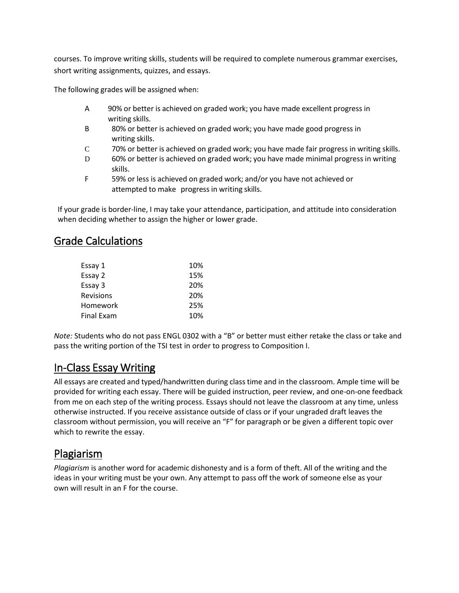courses. To improve writing skills, students will be required to complete numerous grammar exercises, short writing assignments, quizzes, and essays.

The following grades will be assigned when:

- A 90% or better is achieved on graded work; you have made excellent progress in writing skills.
- B 80% or better is achieved on graded work; you have made good progress in writing skills.
- C 70% or better is achieved on graded work; you have made fair progress in writing skills.
- D 60% or better is achieved on graded work; you have made minimal progress in writing skills.
- F 59% or less is achieved on graded work; and/or you have not achieved or attempted to make progress in writing skills.

If your grade is border-line, I may take your attendance, participation, and attitude into consideration when deciding whether to assign the higher or lower grade.

### Grade Calculations

| Essay 1          | 10% |
|------------------|-----|
| Essay 2          | 15% |
| Essay 3          | 20% |
| <b>Revisions</b> | 20% |
| Homework         | 25% |
| Final Exam       | 10% |

*Note:* Students who do not pass ENGL 0302 with a "B" or better must either retake the class or take and pass the writing portion of the TSI test in order to progress to Composition I.

### In-Class Essay Writing

All essays are created and typed/handwritten during classtime and in the classroom. Ample time will be provided for writing each essay. There will be guided instruction, peer review, and one-on-one feedback from me on each step of the writing process. Essays should not leave the classroom at any time, unless otherwise instructed. If you receive assistance outside of class or if your ungraded draft leaves the classroom without permission, you will receive an "F" for paragraph or be given a different topic over which to rewrite the essay.

### Plagiarism

*Plagiarism* is another word for academic dishonesty and is a form of theft. All of the writing and the ideas in your writing must be your own. Any attempt to pass off the work of someone else as your own will result in an F for the course.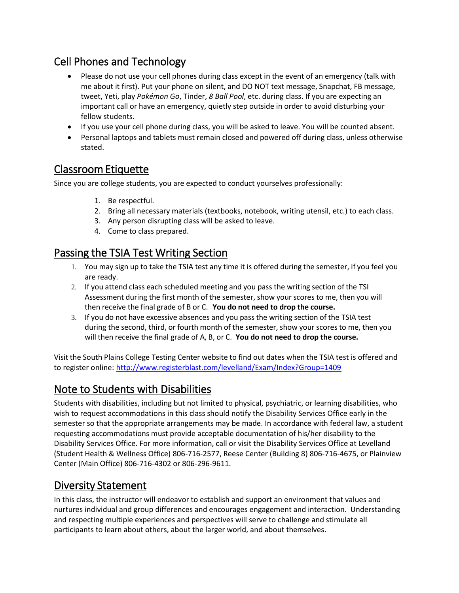### Cell Phones and Technology

- Please do not use your cell phones during class except in the event of an emergency (talk with me about it first). Put your phone on silent, and DO NOT text message, Snapchat, FB message, tweet, Yeti, play *Pokémon Go*, Tinder, *8 Ball Pool*, etc. during class. If you are expecting an important call or have an emergency, quietly step outside in order to avoid disturbing your fellow students.
- If you use your cell phone during class, you will be asked to leave. You will be counted absent.
- Personal laptops and tablets must remain closed and powered off during class, unless otherwise stated.

### Classroom Etiquette

Since you are college students, you are expected to conduct yourselves professionally:

- 1. Be respectful.
- 2. Bring all necessary materials (textbooks, notebook, writing utensil, etc.) to each class.
- 3. Any person disrupting class will be asked to leave.
- 4. Come to class prepared.

### Passing the TSIA Test Writing Section

- 1. You may sign up to take the TSIA test any time it is offered during the semester, if you feel you are ready.
- 2. If you attend class each scheduled meeting and you pass the writing section of the TSI Assessment during the first month of the semester, show your scores to me, then you will then receive the final grade of B or C. **You do not need to drop the course.**
- 3. If you do not have excessive absences and you pass the writing section of the TSIA test during the second, third, or fourth month of the semester, show your scores to me, then you will then receive the final grade of A, B, or C. **You do not need to drop the course.**

Visit the South Plains College Testing Center website to find out dates when the TSIA test is offered and to register online:<http://www.registerblast.com/levelland/Exam/Index?Group=1409>

### Note to Students with Disabilities

Students with disabilities, including but not limited to physical, psychiatric, or learning disabilities, who wish to request accommodations in this class should notify the Disability Services Office early in the semester so that the appropriate arrangements may be made. In accordance with federal law, a student requesting accommodations must provide acceptable documentation of his/her disability to the Disability Services Office. For more information, call or visit the Disability Services Office at Levelland (Student Health & Wellness Office) 806-716-2577, Reese Center (Building 8) 806-716-4675, or Plainview Center (Main Office) 806-716-4302 or 806-296-9611.

### Diversity Statement

In this class, the instructor will endeavor to establish and support an environment that values and nurtures individual and group differences and encourages engagement and interaction. Understanding and respecting multiple experiences and perspectives will serve to challenge and stimulate all participants to learn about others, about the larger world, and about themselves.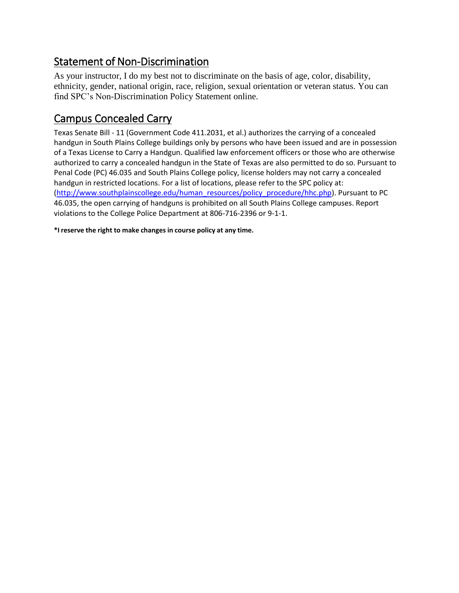### Statement of Non-Discrimination

As your instructor, I do my best not to discriminate on the basis of age, color, disability, ethnicity, gender, national origin, race, religion, sexual orientation or veteran status. You can find SPC's Non-Discrimination Policy Statement online.

### Campus Concealed Carry

Texas Senate Bill - 11 (Government Code 411.2031, et al.) authorizes the carrying of a concealed handgun in South Plains College buildings only by persons who have been issued and are in possession of a Texas License to Carry a Handgun. Qualified law enforcement officers or those who are otherwise authorized to carry a concealed handgun in the State of Texas are also permitted to do so. Pursuant to Penal Code (PC) 46.035 and South Plains College policy, license holders may not carry a concealed handgun in restricted locations. For a list of locations, please refer to the SPC policy at: [\(http://www.southplainscollege.edu/human\\_resources/policy\\_procedure/hhc.php\)](http://www.southplainscollege.edu/human_resources/policy_procedure/hhc.php). Pursuant to PC 46.035, the open carrying of handguns is prohibited on all South Plains College campuses. Report violations to the College Police Department at 806-716-2396 or 9-1-1.

**\*I reserve the right to make changes in course policy at any time.**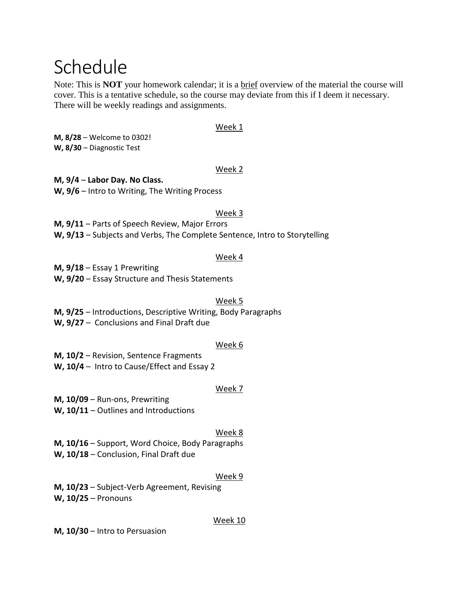## Schedule

Note: This is **NOT** your homework calendar; it is a brief overview of the material the course will cover. This is a tentative schedule, so the course may deviate from this if I deem it necessary. There will be weekly readings and assignments.

#### Week 1

**M, 8/28** – Welcome to 0302! **W, 8/30** – Diagnostic Test

#### Week 2

#### **M, 9/4** – **Labor Day. No Class.**

**W, 9/6** – Intro to Writing, The Writing Process

#### Week 3

**M, 9/11** – Parts of Speech Review, Major Errors

**W, 9/13** – Subjects and Verbs, The Complete Sentence, Intro to Storytelling

#### Week 4

**M, 9/18** – Essay 1 Prewriting

**W, 9/20** – Essay Structure and Thesis Statements

#### Week 5

**M, 9/25** – Introductions, Descriptive Writing, Body Paragraphs

**W, 9/27** – Conclusions and Final Draft due

#### Week 6

**M, 10/2** – Revision, Sentence Fragments

**W, 10/4** – Intro to Cause/Effect and Essay 2

#### Week 7

**M, 10/09** – Run-ons, Prewriting

**W, 10/11** – Outlines and Introductions

#### Week 8

**M, 10/16** – Support, Word Choice, Body Paragraphs

**W, 10/18** – Conclusion, Final Draft due

#### Week 9

**M, 10/23** – Subject-Verb Agreement, Revising **W, 10/25** – Pronouns

#### Week 10

**M, 10/30** – Intro to Persuasion